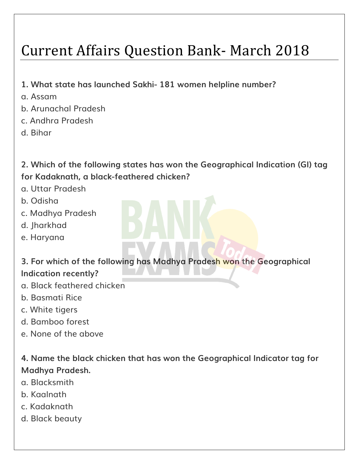# Current Affairs Question Bank- March 2018

- **1. What state has launched Sakhi- 181 women helpline number?**
- a. Assam
- b. Arunachal Pradesh
- c. Andhra Pradesh
- d. Bihar

**2. Which of the following states has won the Geographical Indication (GI) tag for Kadaknath, a black-feathered chicken?**

- a. Uttar Pradesh
- b. Odisha
- c. Madhya Pradesh
- d. Jharkhad
- e. Haryana

**3. For which of the following has Madhya Pradesh won the Geographical Indication recently?**

- a. Black feathered chicken
- b. Basmati Rice
- c. White tigers
- d. Bamboo forest
- e. None of the above

**4. Name the black chicken that has won the Geographical Indicator tag for Madhya Pradesh.**

- a. Blacksmith
- b. Kaalnath
- c. Kadaknath
- d. Black beauty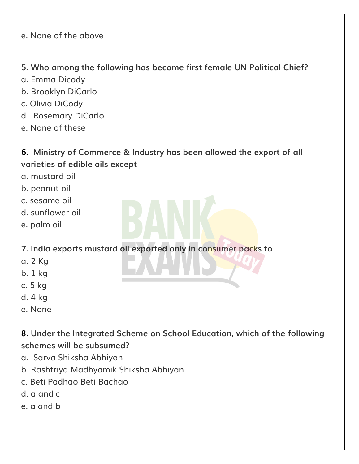e. None of the above

#### **5. Who among the following has become first female UN Political Chief?**

- a. Emma Dicody
- b. Brooklyn DiCarlo
- c. Olivia DiCody
- d. Rosemary DiCarlo
- e. None of these

# **6. Ministry of Commerce & Industry has been allowed the export of all varieties of edible oils except**

- a. mustard oil
- b. peanut oil
- c. sesame oil
- d. sunflower oil
- e. palm oil

**7. India exports mustard oil exported only in consumer packs to**

- a. 2 Kg
- b. 1 kg
- c. 5 kg
- d. 4 kg
- e. None

**8. Under the Integrated Scheme on School Education, which of the following schemes will be subsumed?**

- a. Sarva Shiksha Abhiyan
- b. Rashtriya Madhyamik Shiksha Abhiyan
- c. Beti Padhao Beti Bachao
- d. a and c
- e. a and b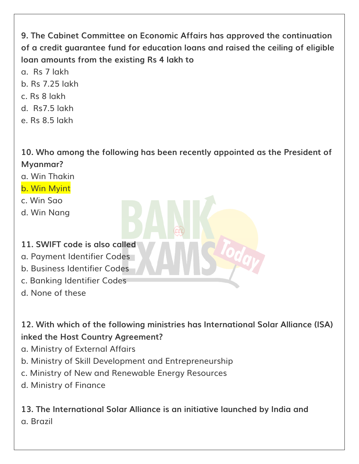**9. The Cabinet Committee on Economic Affairs has approved the continuation of a credit guarantee fund for education loans and raised the ceiling of eligible loan amounts from the existing Rs 4 lakh to**

- a. Rs 7 lakh
- b. Rs 7.25 lakh
- c. Rs 8 lakh
- d. Rs7.5 lakh
- e. Rs 8.5 lakh

**10. Who among the following has been recently appointed as the President of Myanmar?**

- a. Win Thakin
- b. Win Myint
- c. Win Sao
- d. Win Nang

#### **11. SWIFT code is also called**

- a. Payment Identifier Codes
- b. Business Identifier Codes
- c. Banking Identifier Codes
- d. None of these

**12. With which of the following ministries has International Solar Alliance (ISA) inked the Host Country Agreement?**

- a. Ministry of External Affairs
- b. Ministry of Skill Development and Entrepreneurship
- c. Ministry of New and Renewable Energy Resources
- d. Ministry of Finance

**13. The International Solar Alliance is an initiative launched by India and** a. Brazil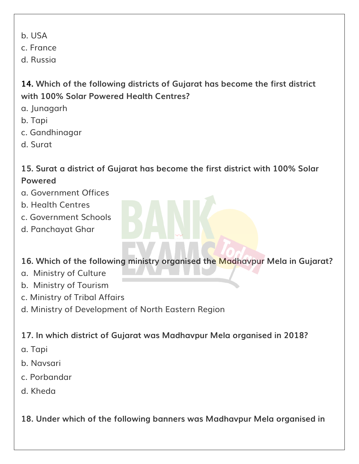b. USA

c. France

d. Russia

# **14. Which of the following districts of Gujarat has become the first district with 100% Solar Powered Health Centres?**

- a. Junagarh
- b. Tapi
- c. Gandhinagar
- d. Surat

# **15. Surat a district of Gujarat has become the first district with 100% Solar Powered**

- a. Government Offices
- b. Health Centres
- c. Government Schools
- d. Panchayat Ghar

# **16. Which of the following ministry organised the Madhavpur Mela in Gujarat?**

- a. Ministry of Culture
- b. Ministry of Tourism
- c. Ministry of Tribal Affairs
- d. Ministry of Development of North Eastern Region

# **17. In which district of Gujarat was Madhavpur Mela organised in 2018?**

- a. Tapi
- b. Navsari
- c. Porbandar
- d. Kheda

**18. Under which of the following banners was Madhavpur Mela organised in**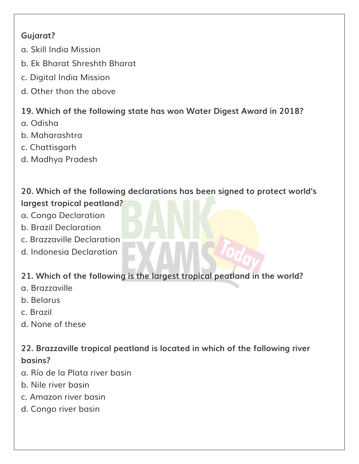# **Gujarat?**

- a. Skill India Mission
- b. Ek Bharat Shreshth Bharat
- c. Digital India Mission
- d. Other than the above

# **19. Which of the following state has won Water Digest Award in 2018?**

- a. Odisha
- b. Maharashtra
- c. Chattisgarh
- d. Madhya Pradesh

# **20. Which of the following declarations has been signed to protect world's largest tropical peatland?**

- a. Congo Declaration
- b. Brazil Declaration
- c. Brazzaville Declaration
- d. Indonesia Declaration

# **21. Which of the following is the largest tropical peatland in the world?**

- a. Brazzaville
- b. Belarus
- c. Brazil
- d. None of these

# **22. Brazzaville tropical peatland is located in which of the following river basins?**

- a. Río de la Plata river basin
- b. Nile river basin
- c. Amazon river basin
- d. Congo river basin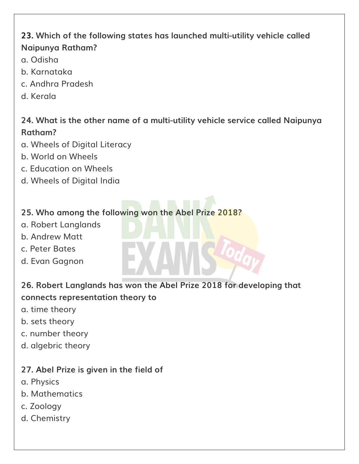# **23. Which of the following states has launched multi-utility vehicle called Naipunya Ratham?**

- a. Odisha
- b. Karnataka
- c. Andhra Pradesh
- d. Kerala

## **24. What is the other name of a multi-utility vehicle service called Naipunya Ratham?**

- a. Wheels of Digital Literacy
- b. World on Wheels
- c. Education on Wheels
- d. Wheels of Digital India

#### **25. Who among the following won the Abel Prize 2018?**

- a. Robert Langlands
- b. Andrew Matt
- c. Peter Bates
- d. Evan Gagnon

## **26. Robert Langlands has won the Abel Prize 2018 for developing that connects representation theory to**

- a. time theory
- b. sets theory
- c. number theory
- d. algebric theory

#### **27. Abel Prize is given in the field of**

- a. Physics
- b. Mathematics
- c. Zoology
- d. Chemistry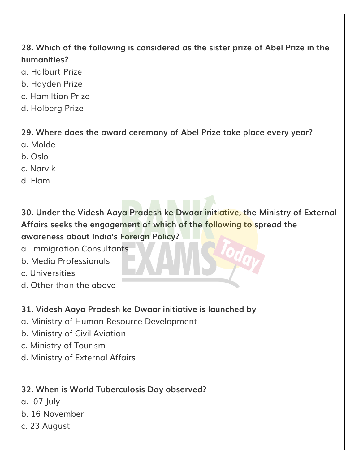# **28. Which of the following is considered as the sister prize of Abel Prize in the humanities?**

- a. Halburt Prize
- b. Hayden Prize
- c. Hamiltion Prize
- d. Holberg Prize

**29. Where does the award ceremony of Abel Prize take place every year?**

- a. Molde
- b. Oslo
- c. Narvik
- d. Flam

**30. Under the Videsh Aaya Pradesh ke Dwaar initiative, the Ministry of External Affairs seeks the engagement of which of the following to spread the awareness about India's Foreign Policy?**

- a. Immigration Consultants
- b. Media Professionals
- c. Universities
- d. Other than the above

# **31. Videsh Aaya Pradesh ke Dwaar initiative is launched by**

- a. Ministry of Human Resource Development
- b. Ministry of Civil Aviation
- c. Ministry of Tourism
- d. Ministry of External Affairs

# **32. When is World Tuberculosis Day observed?**

- a. 07 July
- b. 16 November
- c. 23 August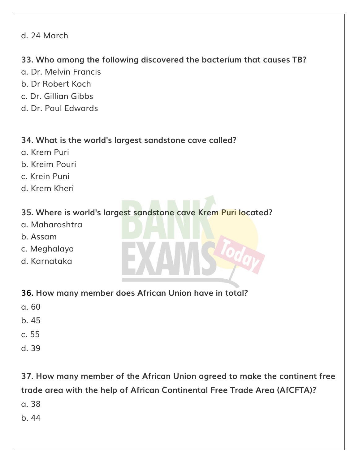#### d. 24 March

#### **33. Who among the following discovered the bacterium that causes TB?**

- a. Dr. Melvin Francis
- b. Dr Robert Koch
- c. Dr. Gillian Gibbs
- d. Dr. Paul Edwards

#### **34. What is the world's largest sandstone cave called?**

- a. Krem Puri
- b. Kreim Pouri
- c. Krein Puni
- d. Krem Kheri

# **35. Where is world's largest sandstone cave Krem Puri located?**

- a. Maharashtra
- b. Assam
- c. Meghalaya
- d. Karnataka

#### **36. How many member does African Union have in total?**

- a. 60
- b. 45
- c. 55
- d. 39

**37. How many member of the African Union agreed to make the continent free trade area with the help of African Continental Free Trade Area (AfCFTA)?** a. 38

b. 44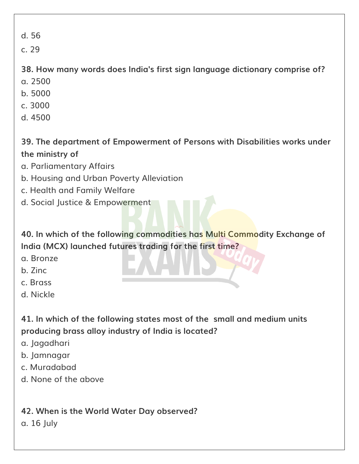d. 56

c. 29

**38. How many words does India's first sign language dictionary comprise of?** a. 2500

- b. 5000
- c. 3000
- d. 4500
- **39. The department of Empowerment of Persons with Disabilities works under the ministry of**
- a. Parliamentary Affairs
- b. Housing and Urban Poverty Alleviation
- c. Health and Family Welfare
- d. Social Justice & Empowerment

**40. In which of the following commodities has Multi Commodity Exchange of India (MCX) launched futures trading for the first time?**

- a. Bronze
- b. Zinc
- c. Brass
- d. Nickle

**41. In which of the following states most of the small and medium units producing brass alloy industry of India is located?**

- a. Jagadhari
- b. Jamnagar
- c. Muradabad
- d. None of the above

**42. When is the World Water Day observed?**

a. 16 July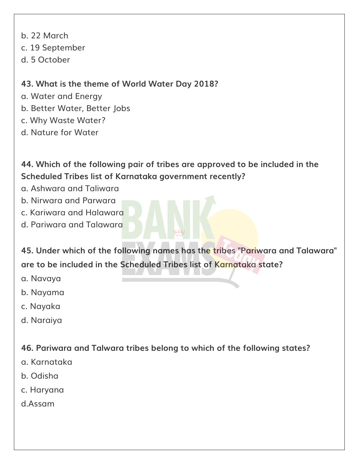- b. 22 March
- c. 19 September
- d. 5 October

# **43. What is the theme of World Water Day 2018?**

- a. Water and Energy
- b. Better Water, Better Jobs
- c. Why Waste Water?
- d. Nature for Water

**44. Which of the following pair of tribes are approved to be included in the Scheduled Tribes list of Karnataka government recently?**

- a. Ashwara and Taliwara
- b. Nirwara and Parwara
- c. Kariwara and Halawara
- d. Pariwara and Talawara

**45. Under which of the following names has the tribes "Pariwara and Talawara" are to be included in the Scheduled Tribes list of Karnataka state?**

- a. Navaya
- b. Nayama
- c. Nayaka
- d. Naraiya

**46. Pariwara and Talwara tribes belong to which of the following states?**

- a. Karnataka
- b. Odisha
- c. Haryana
- d.Assam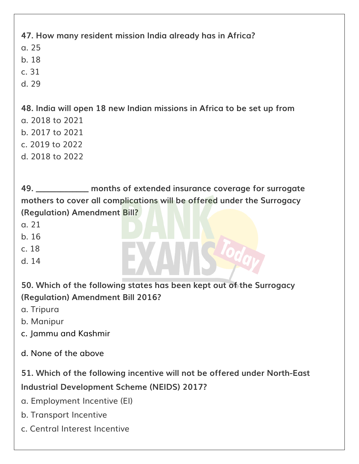**47. How many resident mission India already has in Africa?** a. 25 b. 18 c. 31 d. 29

**48. India will open 18 new Indian missions in Africa to be set up from** a. 2018 to 2021 b. 2017 to 2021 c. 2019 to 2022 d. 2018 to 2022

**49. \_\_\_\_\_\_\_\_\_\_\_\_\_ months of extended insurance coverage for surrogate mothers to cover all complications will be offered under the Surrogacy (Regulation) Amendment Bill?**

a. 21

b. 16

c. 18

d. 14

**50. Which of the following states has been kept out of the Surrogacy (Regulation) Amendment Bill 2016?**

a. Tripura

b. Manipur

c. Jammu and Kashmir

d. None of the above

**51. Which of the following incentive will not be offered under North-East Industrial Development Scheme (NEIDS) 2017?**

a. Employment Incentive (EI)

b. Transport Incentive

c. Central Interest Incentive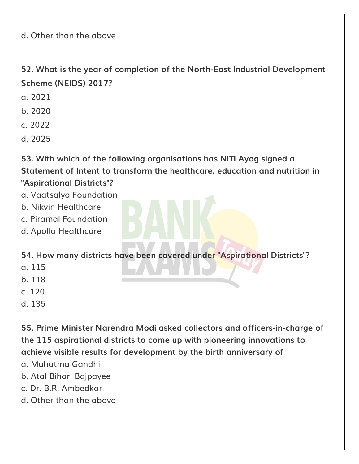d. Other than the above

**52. What is the year of completion of the North-East Industrial Development Scheme (NEIDS) 2017?**

a. 2021

b. 2020

c. 2022

d. 2025

**53. With which of the following organisations has NITI Ayog signed a Statement of Intent to transform the healthcare, education and nutrition in "Aspirational Districts"?**

- a. Vaatsalya Foundation
- b. Nikvin Healthcare
- c. Piramal Foundation
- d. Apollo Healthcare

**54. How many districts have been covered under "Aspirational Districts"?**

- a. 115
- b. 118
- c. 120
- d. 135

**55. Prime Minister Narendra Modi asked collectors and officers-in-charge of the 115 aspirational districts to come up with pioneering innovations to achieve visible results for development by the birth anniversary of**

- a. Mahatma Gandhi
- b. Atal Bihari Bajpayee
- c. Dr. B.R. Ambedkar
- d. Other than the above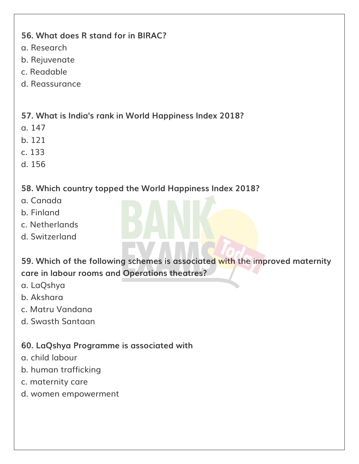#### **56. What does R stand for in BIRAC?**

- a. Research
- b. Rejuvenate
- c. Readable
- d. Reassurance

# **57. What is India's rank in World Happiness Index 2018?**

- a. 147
- b. 121
- c. 133
- d. 156

# **58. Which country topped the World Happiness Index 2018?**

- a. Canada
- b. Finland
- c. Netherlands
- d. Switzerland

**59. Which of the following schemes is associated with the improved maternity care in labour rooms and Operations theatres?**

- a. LaQshya
- b. Akshara
- c. Matru Vandana
- d. Swasth Santaan

# **60. LaQshya Programme is associated with**

- a. child labour
- b. human trafficking
- c. maternity care
- d. women empowerment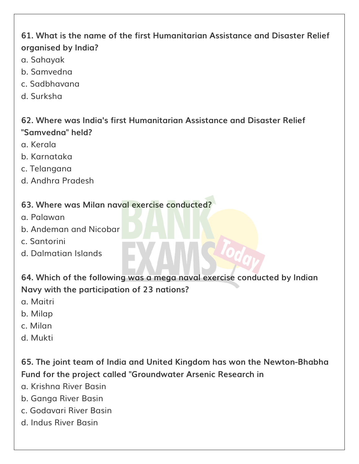# **61. What is the name of the first Humanitarian Assistance and Disaster Relief organised by India?**

- a. Sahayak
- b. Samvedna
- c. Sadbhavana
- d. Surksha

# **62. Where was India's first Humanitarian Assistance and Disaster Relief "Samvedna" held?**

- a. Kerala
- b. Karnataka
- c. Telangana
- d. Andhra Pradesh

## **63. Where was Milan naval exercise conducted?**

- a. Palawan
- b. Andeman and Nicobar
- c. Santorini
- d. Dalmatian Islands

**64. Which of the following was a mega naval exercise conducted by Indian Navy with the participation of 23 nations?**

- a. Maitri
- b. Milap
- c. Milan
- d. Mukti

**65. The joint team of India and United Kingdom has won the Newton-Bhabha Fund for the project called "Groundwater Arsenic Research in**

- a. Krishna River Basin
- b. Ganga River Basin
- c. Godavari River Basin
- d. Indus River Basin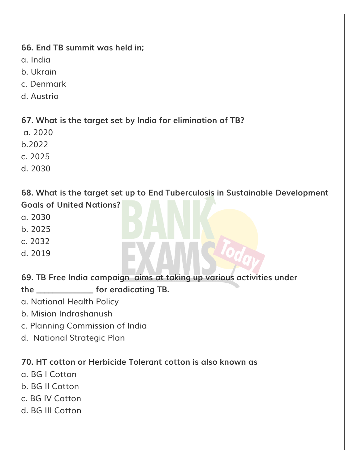#### **66. End TB summit was held in;**

a. India

b. Ukrain

c. Denmark

d. Austria

**67. What is the target set by India for elimination of TB?**

a. 2020

b.2022

c. 2025

d. 2030

**68. What is the target set up to End Tuberculosis in Sustainable Development Goals of United Nations?**

- a. 2030
- b. 2025
- c. 2032
- d. 2019

**69. TB Free India campaign aims at taking up various activities under**

**the \_\_\_\_\_\_\_\_\_\_\_\_\_\_ for eradicating TB.**

- a. National Health Policy
- b. Mision Indrashanush
- c. Planning Commission of India
- d. National Strategic Plan

**70. HT cotton or Herbicide Tolerant cotton is also known as**

- a. BG I Cotton
- b. BG II Cotton
- c. BG IV Cotton
- d. BG III Cotton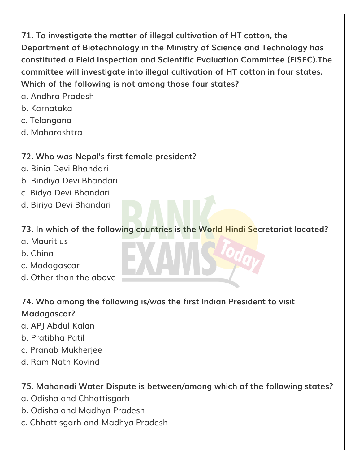**71. To investigate the matter of illegal cultivation of HT cotton, the Department of Biotechnology in the Ministry of Science and Technology has constituted a Field Inspection and Scientific Evaluation Committee (FISEC).The committee will investigate into illegal cultivation of HT cotton in four states. Which of the following is not among those four states?**

- a. Andhra Pradesh
- b. Karnataka
- c. Telangana
- d. Maharashtra

# **72. Who was Nepal's first female president?**

- a. Binia Devi Bhandari
- b. Bindiya Devi Bhandari
- c. Bidya Devi Bhandari
- d. Biriya Devi Bhandari

## **73. In which of the following countries is the World Hindi Secretariat located?**

- a. Mauritius
- b. China
- c. Madagascar
- d. Other than the above

#### **74. Who among the following is/was the first Indian President to visit Madagascar?**

- a. APJ Abdul Kalan
- b. Pratibha Patil
- c. Pranab Mukherjee
- d. Ram Nath Kovind

# **75. Mahanadi Water Dispute is between/among which of the following states?**

- a. Odisha and Chhattisgarh
- b. Odisha and Madhya Pradesh
- c. Chhattisgarh and Madhya Pradesh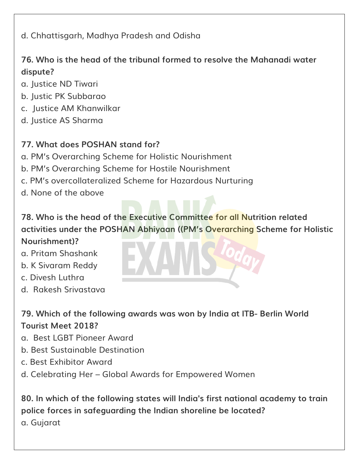d. Chhattisgarh, Madhya Pradesh and Odisha

## **76. Who is the head of the tribunal formed to resolve the Mahanadi water dispute?**

- a. Justice ND Tiwari
- b. Justic PK Subbarao
- c. Justice AM Khanwilkar
- d. Justice AS Sharma

#### **77. What does POSHAN stand for?**

- a. PM's Overarching Scheme for Holistic Nourishment
- b. PM's Overarching Scheme for Hostile Nourishment
- c. PM's overcollateralized Scheme for Hazardous Nurturing
- d. None of the above

# **78. Who is the head of the Executive Committee for all Nutrition related activities under the POSHAN Abhiyaan ((PM's Overarching Scheme for Holistic**

#### **Nourishment)?**

- a. Pritam Shashank
- b. K Sivaram Reddy
- c. Divesh Luthra
- d. Rakesh Srivastava

# **79. Which of the following awards was won by India at ITB- Berlin World Tourist Meet 2018?**

- a. Best LGBT Pioneer Award
- b. Best Sustainable Destination
- c. Best Exhibitor Award
- d. Celebrating Her Global Awards for Empowered Women

**80. In which of the following states will India's first national academy to train police forces in safeguarding the Indian shoreline be located?** a. Gujarat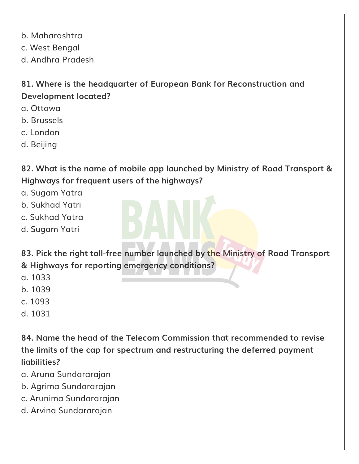b. Maharashtra

c. West Bengal

d. Andhra Pradesh

**81. Where is the headquarter of European Bank for Reconstruction and Development located?**

- a. Ottawa
- b. Brussels
- c. London
- d. Beijing

**82. What is the name of mobile app launched by Ministry of Road Transport & Highways for frequent users of the highways?**

- a. Sugam Yatra
- b. Sukhad Yatri
- c. Sukhad Yatra
- d. Sugam Yatri

**83. Pick the right toll-free number launched by the Ministry of Road Transport & Highways for reporting emergency conditions?**

- a. 1033
- b. 1039
- c. 1093
- d. 1031

**84. Name the head of the Telecom Commission that recommended to revise the limits of the cap for spectrum and restructuring the deferred payment liabilities?**

- a. Aruna Sundararajan
- b. Agrima Sundararajan
- c. Arunima Sundararajan
- d. Arvina Sundararajan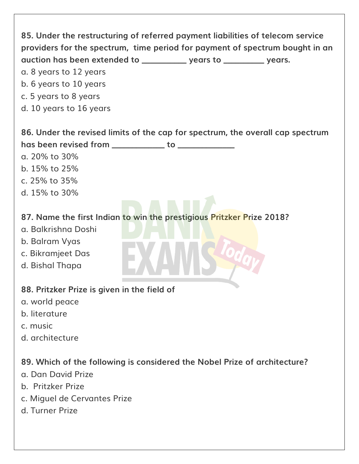| 85. Under the restructuring of referred payment liabilities of telecom service<br>providers for the spectrum, time period for payment of spectrum bought in an<br>auction has been extended to _______________ years to _____________ years.<br>a. 8 years to 12 years<br>b. 6 years to 10 years<br>c. 5 years to 8 years<br>d. 10 years to 16 years |
|------------------------------------------------------------------------------------------------------------------------------------------------------------------------------------------------------------------------------------------------------------------------------------------------------------------------------------------------------|
| 86. Under the revised limits of the cap for spectrum, the overall cap spectrum                                                                                                                                                                                                                                                                       |
| has been revised from ______________ to _____________                                                                                                                                                                                                                                                                                                |
| a. 20% to 30%                                                                                                                                                                                                                                                                                                                                        |
| b. 15% to 25%                                                                                                                                                                                                                                                                                                                                        |
| c. 25% to 35%                                                                                                                                                                                                                                                                                                                                        |
| d. 15% to 30%                                                                                                                                                                                                                                                                                                                                        |
| 87. Name the first Indian to win the prestigious Pritzker Prize 2018?<br>a. Balkrishna Doshi<br>b. Balram Vyas<br>c. Bikramjeet Das<br>d. Bishal Thapa                                                                                                                                                                                               |
| 88. Pritzker Prize is given in the field of                                                                                                                                                                                                                                                                                                          |
| a. world peace                                                                                                                                                                                                                                                                                                                                       |
| b. literature                                                                                                                                                                                                                                                                                                                                        |
| c. music                                                                                                                                                                                                                                                                                                                                             |
| d. architecture                                                                                                                                                                                                                                                                                                                                      |
| 89. Which of the following is considered the Nobel Prize of architecture?<br>g. Dan David Prize<br>b. Pritzker Prize<br>c. Miguel de Cervantes Prize                                                                                                                                                                                                 |
| d. Turner Prize                                                                                                                                                                                                                                                                                                                                      |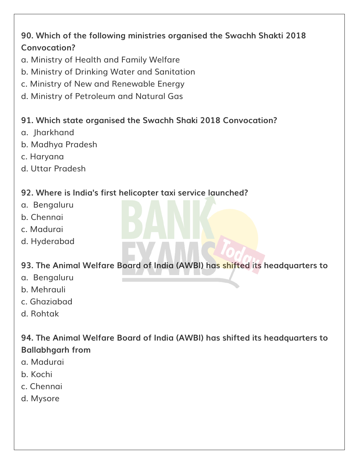# **90. Which of the following ministries organised the Swachh Shakti 2018 Convocation?**

- a. Ministry of Health and Family Welfare
- b. Ministry of Drinking Water and Sanitation
- c. Ministry of New and Renewable Energy
- d. Ministry of Petroleum and Natural Gas

#### **91. Which state organised the Swachh Shaki 2018 Convocation?**

- a. Jharkhand
- b. Madhya Pradesh
- c. Haryana
- d. Uttar Pradesh

#### **92. Where is India's first helicopter taxi service launched?**

- a. Bengaluru
- b. Chennai
- c. Madurai
- d. Hyderabad

# **93. The Animal Welfare Board of India (AWBI) has shifted its headquarters to**

- a. Bengaluru
- b. Mehrauli
- c. Ghaziabad
- d. Rohtak

**94. The Animal Welfare Board of India (AWBI) has shifted its headquarters to Ballabhgarh from**

- a. Madurai
- b. Kochi
- c. Chennai
- d. Mysore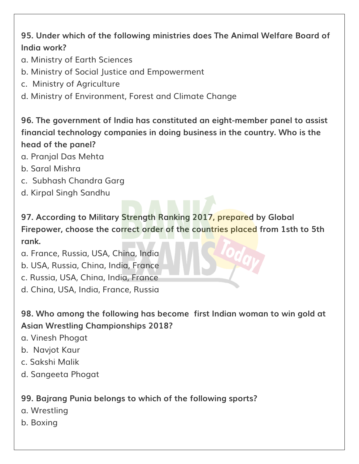# **95. Under which of the following ministries does The Animal Welfare Board of India work?**

- a. Ministry of Earth Sciences
- b. Ministry of Social Justice and Empowerment
- c. Ministry of Agriculture
- d. Ministry of Environment, Forest and Climate Change

# **96. The government of India has constituted an eight-member panel to assist financial technology companies in doing business in the country. Who is the head of the panel?**

- a. Pranjal Das Mehta
- b. Saral Mishra
- c. Subhash Chandra Garg
- d. Kirpal Singh Sandhu

**97. According to Military Strength Ranking 2017, prepared by Global Firepower, choose the correct order of the countries placed from 1sth to 5th rank.**

- a. France, Russia, USA, China, India
- b. USA, Russia, China, India, France
- c. Russia, USA, China, India, France
- d. China, USA, India, France, Russia

**98. Who among the following has become first Indian woman to win gold at Asian Wrestling Championships 2018?**

- a. Vinesh Phogat
- b. Navjot Kaur
- c. Sakshi Malik
- d. Sangeeta Phogat

# **99. Bajrang Punia belongs to which of the following sports?**

- a. Wrestling
- b. Boxing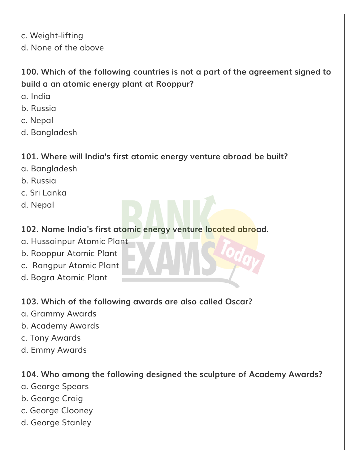c. Weight-lifting

d. None of the above

# **100. Which of the following countries is not a part of the agreement signed to build a an atomic energy plant at Rooppur?**

- a. India
- b. Russia
- c. Nepal
- d. Bangladesh

## **101. Where will India's first atomic energy venture abroad be built?**

- a. Bangladesh
- b. Russia
- c. Sri Lanka
- d. Nepal

# **102. Name India's first atomic energy venture located abroad.**

- a. Hussainpur Atomic Plant
- b. Rooppur Atomic Plant
- c. Rangpur Atomic Plant
- d. Bogra Atomic Plant

# **103. Which of the following awards are also called Oscar?**

- a. Grammy Awards
- b. Academy Awards
- c. Tony Awards
- d. Emmy Awards

#### **104. Who among the following designed the sculpture of Academy Awards?**

- a. George Spears
- b. George Craig
- c. George Clooney
- d. George Stanley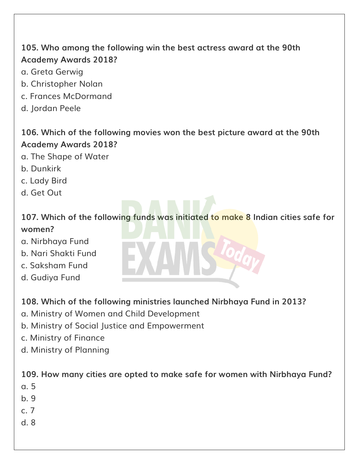# **105. Who among the following win the best actress award at the 90th Academy Awards 2018?**

- a. Greta Gerwig
- b. Christopher Nolan
- c. Frances McDormand
- d. Jordan Peele

#### **106. Which of the following movies won the best picture award at the 90th Academy Awards 2018?**

- a. The Shape of Water
- b. Dunkirk
- c. Lady Bird
- d. Get Out

# **107. Which of the following funds was initiated to make 8 Indian cities safe for women?**

- a. Nirbhaya Fund
- b. Nari Shakti Fund
- c. Saksham Fund
- d. Gudiya Fund

#### **108. Which of the following ministries launched Nirbhaya Fund in 2013?**

- a. Ministry of Women and Child Development
- b. Ministry of Social Justice and Empowerment
- c. Ministry of Finance
- d. Ministry of Planning

#### **109. How many cities are opted to make safe for women with Nirbhaya Fund?**

- a. 5
- b. 9
- c. 7
- d. 8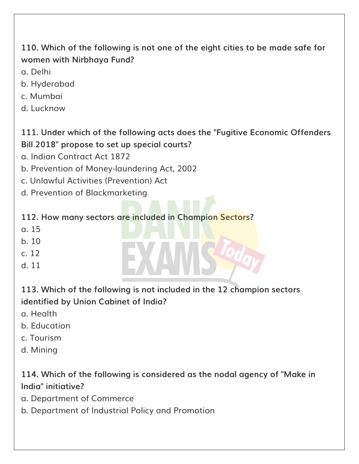# **110. Which of the following is not one of the eight cities to be made safe for women with Nirbhaya Fund?**

- a. Delhi
- b. Hyderabad
- c. Mumbai
- d. Lucknow

# **111. Under which of the following acts does the "Fugitive Economic Offenders Bill 2018" propose to set up special courts?**

- a. Indian Contract Act 1872
- b. Prevention of Money-laundering Act, 2002
- c. Unlawful Activities (Prevention) Act
- d. Prevention of Blackmarketing

# **112. How many sectors are included in Champion Sectors?**

- a. 15
- b. 10
- c. 12
- d. 11

# **113. Which of the following is not included in the 12 champion sectors identified by Union Cabinet of India?**

- a. Health
- b. Education
- c. Tourism
- d. Mining

# **114. Which of the following is considered as the nodal agency of "Make in India" initiative?**

- a. Department of Commerce
- b. Department of Industrial Policy and Promotion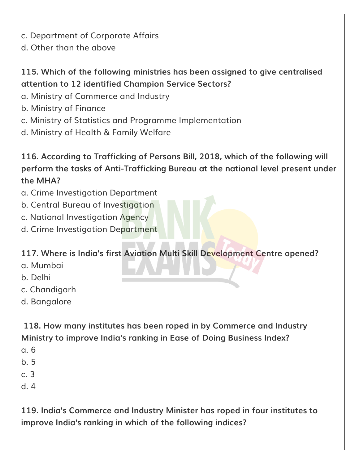- c. Department of Corporate Affairs
- d. Other than the above

# **115. Which of the following ministries has been assigned to give centralised attention to 12 identified Champion Service Sectors?**

- a. Ministry of Commerce and Industry
- b. Ministry of Finance
- c. Ministry of Statistics and Programme Implementation
- d. Ministry of Health & Family Welfare

**116. According to Trafficking of Persons Bill, 2018, which of the following will perform the tasks of Anti-Trafficking Bureau at the national level present under the MHA?**

- a. Crime Investigation Department
- b. Central Bureau of Investigation
- c. National Investigation Agency
- d. Crime Investigation Department

#### **117. Where is India's first Aviation Multi Skill Development Centre opened?**

- a. Mumbai
- b. Delhi
- c. Chandigarh
- d. Bangalore

**118. How many institutes has been roped in by Commerce and Industry Ministry to improve India's ranking in Ease of Doing Business Index?**

- a. 6
- b. 5
- c. 3
- d. 4

**119. India's Commerce and Industry Minister has roped in four institutes to improve India's ranking in which of the following indices?**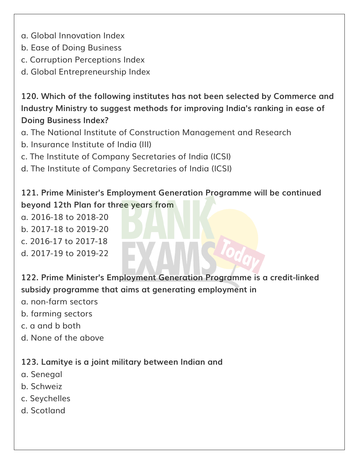- a. Global Innovation Index
- b. Ease of Doing Business
- c. Corruption Perceptions Index
- d. Global Entrepreneurship Index

**120. Which of the following institutes has not been selected by Commerce and Industry Ministry to suggest methods for improving India's ranking in ease of Doing Business Index?**

- a. The National Institute of Construction Management and Research
- b. Insurance Institute of India (III)
- c. The Institute of Company Secretaries of India (ICSI)
- d. The Institute of Company Secretaries of India (ICSI)

**121. Prime Minister's Employment Generation Programme will be continued beyond 12th Plan for three years from**

a. 2016-18 to 2018-20

- b. 2017-18 to 2019-20
- c. 2016-17 to 2017-18
- d. 2017-19 to 2019-22

**122. Prime Minister's Employment Generation Programme is a credit-linked subsidy programme that aims at generating employment in**

- a. non-farm sectors
- b. farming sectors
- c. a and b both
- d. None of the above

**123. Lamitye is a joint military between Indian and**

- a. Senegal
- b. Schweiz
- c. Seychelles
- d. Scotland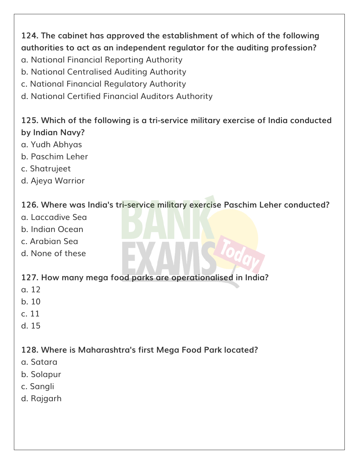**124. The cabinet has approved the establishment of which of the following authorities to act as an independent regulator for the auditing profession?**

- a. National Financial Reporting Authority
- b. National Centralised Auditing Authority
- c. National Financial Regulatory Authority
- d. National Certified Financial Auditors Authority

# **125. Which of the following is a tri-service military exercise of India conducted by Indian Navy?**

- a. Yudh Abhyas
- b. Paschim Leher
- c. Shatrujeet
- d. Ajeya Warrior

#### **126. Where was India's tri-service military exercise Paschim Leher conducted?**

- a. Laccadive Sea
- b. Indian Ocean
- c. Arabian Sea
- d. None of these

#### **127. How many mega food parks are operationalised in India?**

- a. 12
- b. 10
- c. 11
- d. 15

# **128. Where is Maharashtra's first Mega Food Park located?**

- a. Satara
- b. Solapur
- c. Sangli
- d. Rajgarh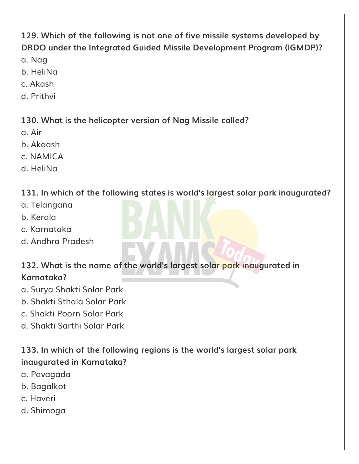# **129. Which of the following is not one of five missile systems developed by DRDO under the Integrated Guided Missile Development Program (IGMDP)?**

- a. Nag
- b. HeliNa
- c. Akash
- d. Prithvi

#### **130. What is the helicopter version of Nag Missile called?**

- a. Air
- b. Akaash
- c. NAMICA
- d. HeliNa

## **131. In which of the following states is world's largest solar park inaugurated?**

- a. Telangana
- b. Kerala
- c. Karnataka
- d. Andhra Pradesh

## **132. What is the name of the world's largest solar park inaugurated in Karnataka?**

- a. Surya Shakti Solar Park
- b. Shakti Sthala Solar Park
- c. Shakti Poorn Solar Park
- d. Shakti Sarthi Solar Park

# **133. In which of the following regions is the world's largest solar park inaugurated in Karnataka?**

- a. Pavagada
- b. Bagalkot
- c. Haveri
- d. Shimoga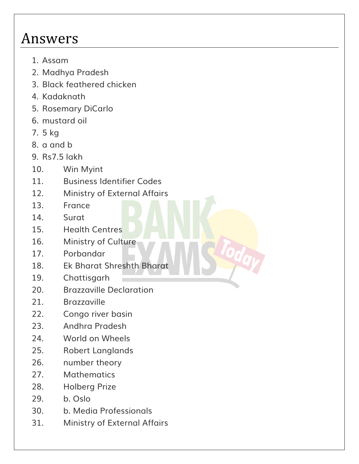# Answers

- 1. Assam
- 2. Madhya Pradesh
- 3. Black feathered chicken
- 4. Kadaknath
- 5. Rosemary DiCarlo
- 6. mustard oil
- 7. 5 kg
- 8. a and b
- 9. Rs7.5 lakh
- 10. Win Myint
- 11. Business Identifier Codes
- 12. Ministry of External Affairs
- 13. France
- 14. Surat
- 15. Health Centres
- 16. Ministry of Culture
- 17. Porbandar
- 18. Ek Bharat Shreshth Bharat
- 19. Chattisgarh
- 20. Brazzaville Declaration
- 21. Brazzaville
- 22. Congo river basin
- 23. Andhra Pradesh
- 24. World on Wheels
- 25. Robert Langlands
- 26. number theory
- 27. Mathematics
- 28. Holberg Prize
- 29. b. Oslo
- 30. b. Media Professionals
- 31. Ministry of External Affairs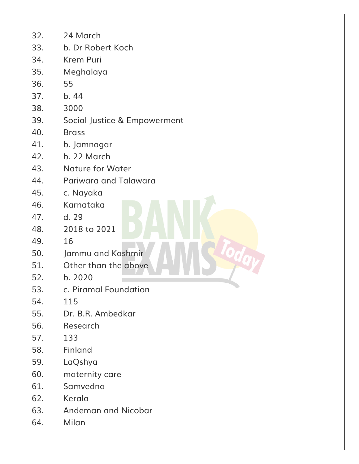| 32. | 24 March                     |
|-----|------------------------------|
| 33. | b. Dr Robert Koch            |
| 34. | <b>Krem Puri</b>             |
| 35. | Meghalaya                    |
| 36. | 55                           |
| 37. | b.44                         |
| 38. | 3000                         |
| 39. | Social Justice & Empowerment |
| 40. | <b>Brass</b>                 |
| 41. | b. Jamnagar                  |
| 42. | b. 22 March                  |
| 43. | <b>Nature for Water</b>      |
| 44. | Pariwara and Talawara        |
| 45. | c. Nayaka                    |
| 46. | Karnataka                    |
| 47. | d. 29                        |
| 48. | 2018 to 2021                 |
| 49. | 16                           |
| 50. | Jammu and Kashmir            |
| 51. | Other than the above         |
| 52. | b. 2020                      |
| 53. | c. Piramal Foundation        |
| 54. | 115                          |
| 55. | Dr. B.R. Ambedkar            |
| 56. | Research                     |
| 57. | 133                          |
| 58. | Finland                      |
| 59. | LaQshya                      |
| 60. | maternity care               |
| 61. | Samvedna                     |
| 62. | Kerala                       |
| 63. | <b>Andeman and Nicobar</b>   |
| 64. | Milan                        |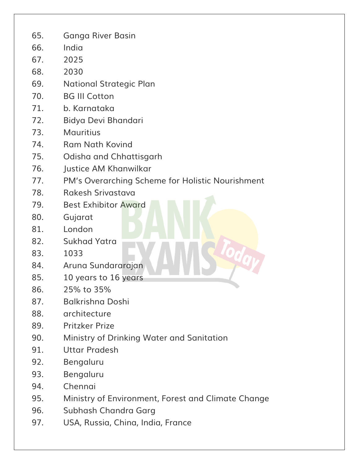- 65. Ganga River Basin
- 66. India
- 67. 2025
- 68. 2030
- 69. National Strategic Plan
- 70. BG III Cotton
- 71. b. Karnataka
- 72. Bidya Devi Bhandari
- 73. Mauritius
- 74. Ram Nath Kovind
- 75. Odisha and Chhattisgarh
- 76. Justice AM Khanwilkar
- 77. PM's Overarching Scheme for Holistic Nourishment
- 78. Rakesh Srivastava
- 79. Best Exhibitor Award
- 80. Gujarat
- 81. London
- 82. Sukhad Yatra
- 83. 1033
- 84. Aruna Sundararajan
- 85. 10 years to 16 years
- 86. 25% to 35%
- 87. Balkrishna Doshi
- 88. architecture
- 89. Pritzker Prize
- 90. Ministry of Drinking Water and Sanitation
- 91. Uttar Pradesh
- 92. Bengaluru
- 93. Bengaluru
- 94. Chennai
- 95. Ministry of Environment, Forest and Climate Change
- 96. Subhash Chandra Garg
- 97. USA, Russia, China, India, France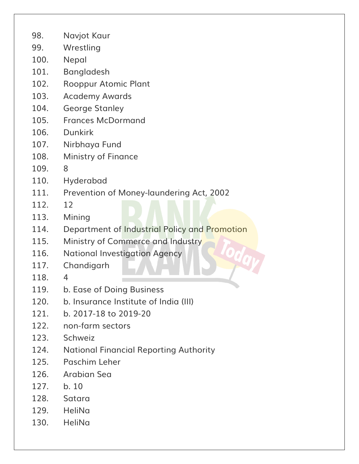- 98. Navjot Kaur
- 99. Wrestling
- 100. Nepal
- 101. Bangladesh
- 102. Rooppur Atomic Plant
- 103. Academy Awards
- 104. George Stanley
- 105. Frances McDormand
- 106. Dunkirk
- 107. Nirbhaya Fund
- 108. Ministry of Finance
- 109. 8
- 110. Hyderabad
- 111. Prevention of Money-laundering Act, 2002
- 112. 12
- 113. Mining
- 114. Department of Industrial Policy and Promotion
- 115. Ministry of Commerce and Industry
- 116. National Investigation Agency
- 117. Chandigarh
- 118. 4
- 119. b. Ease of Doing Business
- 120. b. Insurance Institute of India (III)
- 121. b. 2017-18 to 2019-20
- 122. non-farm sectors
- 123. Schweiz
- 124. National Financial Reporting Authority
- 125. Paschim Leher
- 126. Arabian Sea
- 127. b. 10
- 128. Satara
- 129. HeliNa
- 130. HeliNa